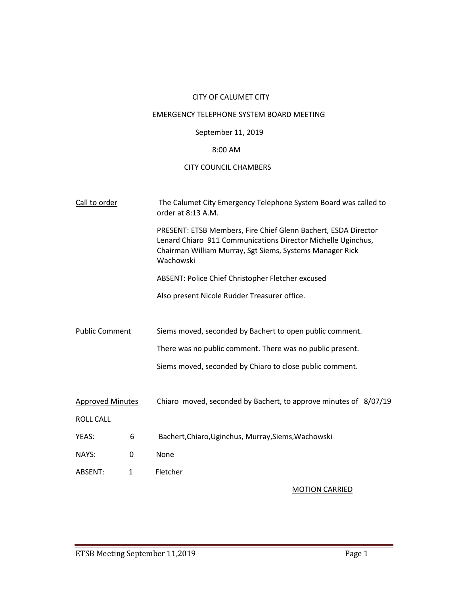# CITY OF CALUMET CITY

## EMERGENCY TELEPHONE SYSTEM BOARD MEETING

# September 11, 2019

## 8:00 AM

## CITY COUNCIL CHAMBERS

| Call to order           |              | The Calumet City Emergency Telephone System Board was called to<br>order at 8:13 A.M.                                                                                                                   |
|-------------------------|--------------|---------------------------------------------------------------------------------------------------------------------------------------------------------------------------------------------------------|
|                         |              | PRESENT: ETSB Members, Fire Chief Glenn Bachert, ESDA Director<br>Lenard Chiaro 911 Communications Director Michelle Uginchus,<br>Chairman William Murray, Sgt Siems, Systems Manager Rick<br>Wachowski |
|                         |              | ABSENT: Police Chief Christopher Fletcher excused                                                                                                                                                       |
|                         |              | Also present Nicole Rudder Treasurer office.                                                                                                                                                            |
|                         |              |                                                                                                                                                                                                         |
| <b>Public Comment</b>   |              | Siems moved, seconded by Bachert to open public comment.                                                                                                                                                |
|                         |              | There was no public comment. There was no public present.                                                                                                                                               |
|                         |              | Siems moved, seconded by Chiaro to close public comment.                                                                                                                                                |
|                         |              |                                                                                                                                                                                                         |
| <b>Approved Minutes</b> |              | Chiaro moved, seconded by Bachert, to approve minutes of 8/07/19                                                                                                                                        |
| <b>ROLL CALL</b>        |              |                                                                                                                                                                                                         |
| YEAS:                   | 6            | Bachert, Chiaro, Uginchus, Murray, Siems, Wachowski                                                                                                                                                     |
| NAYS:                   | 0            | None                                                                                                                                                                                                    |
| ABSENT:                 | $\mathbf{1}$ | Fletcher                                                                                                                                                                                                |
|                         |              | <b>MOTION CARRIED</b>                                                                                                                                                                                   |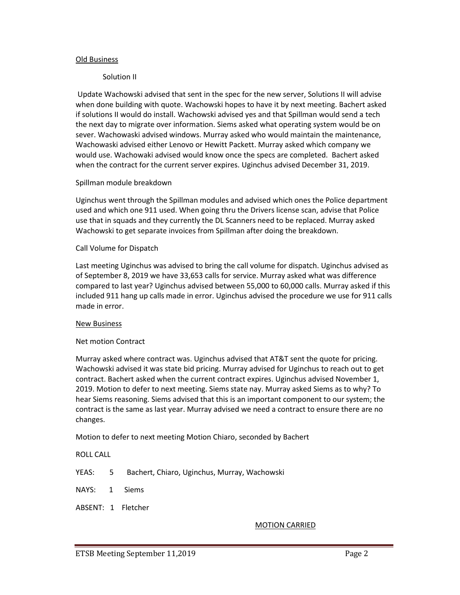### Old Business

### Solution II

Update Wachowski advised that sent in the spec for the new server, Solutions II will advise when done building with quote. Wachowski hopes to have it by next meeting. Bachert asked if solutions II would do install. Wachowski advised yes and that Spillman would send a tech the next day to migrate over information. Siems asked what operating system would be on sever. Wachowaski advised windows. Murray asked who would maintain the maintenance, Wachowaski advised either Lenovo or Hewitt Packett. Murray asked which company we would use. Wachowaki advised would know once the specs are completed. Bachert asked when the contract for the current server expires. Uginchus advised December 31, 2019.

#### Spillman module breakdown

Uginchus went through the Spillman modules and advised which ones the Police department used and which one 911 used. When going thru the Drivers license scan, advise that Police use that in squads and they currently the DL Scanners need to be replaced. Murray asked Wachowski to get separate invoices from Spillman after doing the breakdown.

#### Call Volume for Dispatch

Last meeting Uginchus was advised to bring the call volume for dispatch. Uginchus advised as of September 8, 2019 we have 33,653 calls for service. Murray asked what was difference compared to last year? Uginchus advised between 55,000 to 60,000 calls. Murray asked if this included 911 hang up calls made in error. Uginchus advised the procedure we use for 911 calls made in error.

#### New Business

### Net motion Contract

Murray asked where contract was. Uginchus advised that AT&T sent the quote for pricing. Wachowski advised it was state bid pricing. Murray advised for Uginchus to reach out to get contract. Bachert asked when the current contract expires. Uginchus advised November 1, 2019. Motion to defer to next meeting. Siems state nay. Murray asked Siems as to why? To hear Siems reasoning. Siems advised that this is an important component to our system; the contract is the same as last year. Murray advised we need a contract to ensure there are no changes.

Motion to defer to next meeting Motion Chiaro, seconded by Bachert

ROLL CALL

YEAS: 5 Bachert, Chiaro, Uginchus, Murray, Wachowski

NAYS: 1 Siems

ABSENT: 1 Fletcher

#### MOTION CARRIED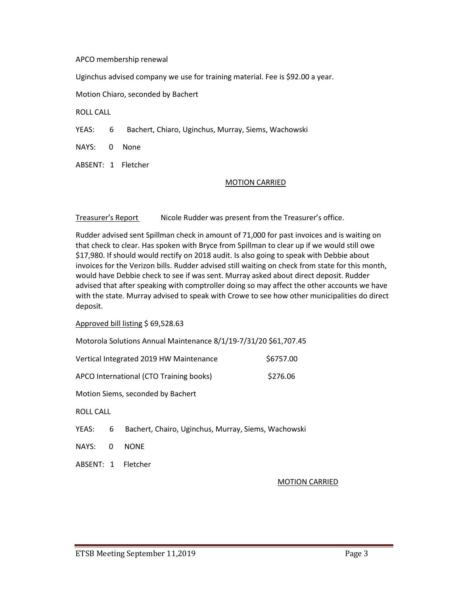#### APCO membership renewal

Uginchus advised company we use for training material. Fee is \$92.00 a year.

Motion Chiaro, seconded by Bachert

ROLL CALL

YEAS: 6 Bachert, Chiaro, Uginchus, Murray, Siems, Wachowski

NAYS: 0 None

ABSENT: 1 Fletcher

#### MOTION CARRIED

Treasurer's Report Nicole Rudder was present from the Treasurer's office.

Rudder advised sent Spillman check in amount of 71,000 for past invoices and is waiting on that check to clear. Has spoken with Bryce from Spillman to clear up if we would still owe \$17,980. If should would rectify on 2018 audit. Is also going to speak with Debbie about invoices for the Verizon bills. Rudder advised still waiting on check from state for this month, would have Debbie check to see if was sent. Murray asked about direct deposit. Rudder advised that after speaking with comptroller doing so may affect the other accounts we have with the state. Murray advised to speak with Crowe to see how other municipalities do direct deposit.

Approved bill listing \$ 69,528.63

Motorola Solutions Annual Maintenance 8/1/19-7/31/20 \$61,707.45

| Vertical Integrated 2019 HW Maintenance                                                                                                                                                                                         | \$6757.00      |
|---------------------------------------------------------------------------------------------------------------------------------------------------------------------------------------------------------------------------------|----------------|
| $\sim$ . The contract of the contract of the contract of the contract of the contract of the contract of the contract of the contract of the contract of the contract of the contract of the contract of the contract of the co | $\blacksquare$ |

APCO International (CTO Training books) \$276.06

Motion Siems, seconded by Bachert

ROLL CALL

- YEAS: 6 Bachert, Chairo, Uginchus, Murray, Siems, Wachowski
- NAYS: 0 NONE

ABSENT: 1 Fletcher

### MOTION CARRIED